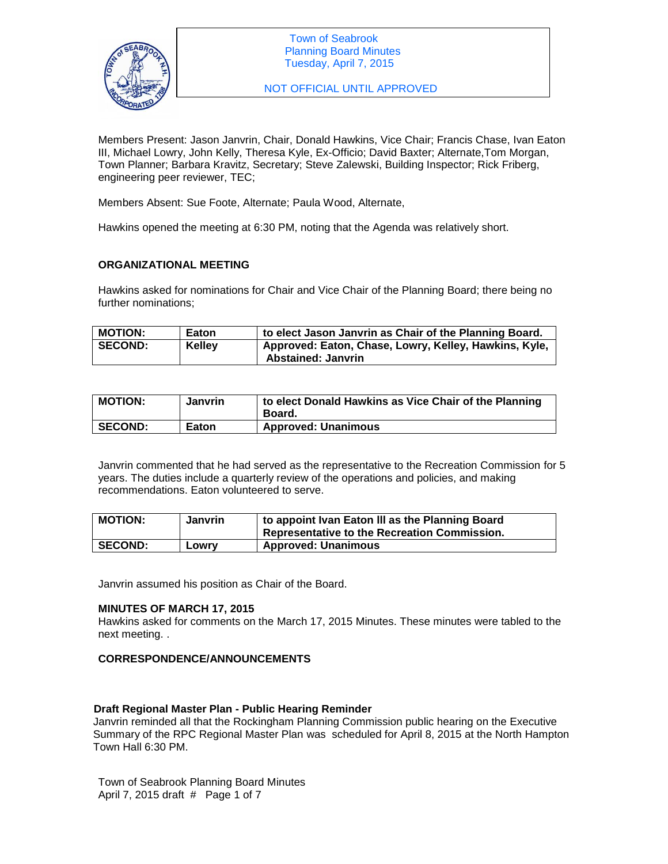

NOT OFFICIAL UNTIL APPROVED

Members Present: Jason Janvrin, Chair, Donald Hawkins, Vice Chair; Francis Chase, Ivan Eaton III, Michael Lowry, John Kelly, Theresa Kyle, Ex-Officio; David Baxter; Alternate,Tom Morgan, Town Planner; Barbara Kravitz, Secretary; Steve Zalewski, Building Inspector; Rick Friberg, engineering peer reviewer, TEC;

Members Absent: Sue Foote, Alternate; Paula Wood, Alternate,

Hawkins opened the meeting at 6:30 PM, noting that the Agenda was relatively short.

## **ORGANIZATIONAL MEETING**

Hawkins asked for nominations for Chair and Vice Chair of the Planning Board; there being no further nominations;

| MOTION:        | Eaton         | to elect Jason Janvrin as Chair of the Planning Board.                             |
|----------------|---------------|------------------------------------------------------------------------------------|
| <b>SECOND:</b> | <b>Kelley</b> | Approved: Eaton, Chase, Lowry, Kelley, Hawkins, Kyle,<br><b>Abstained: Janvrin</b> |

| <b>MOTION:</b> | <b>Janvrin</b> | to elect Donald Hawkins as Vice Chair of the Planning<br>Board. |
|----------------|----------------|-----------------------------------------------------------------|
| <b>SECOND:</b> | <b>Eaton</b>   | <b>Approved: Unanimous</b>                                      |

Janvrin commented that he had served as the representative to the Recreation Commission for 5 years. The duties include a quarterly review of the operations and policies, and making recommendations. Eaton volunteered to serve.

| <b>MOTION:</b> | Janvrin | to appoint Ivan Eaton III as the Planning Board<br>Representative to the Recreation Commission. |
|----------------|---------|-------------------------------------------------------------------------------------------------|
| <b>SECOND:</b> | Lowry   | <b>Approved: Unanimous</b>                                                                      |

Janvrin assumed his position as Chair of the Board.

## **MINUTES OF MARCH 17, 2015**

Hawkins asked for comments on the March 17, 2015 Minutes. These minutes were tabled to the next meeting. .

## **CORRESPONDENCE/ANNOUNCEMENTS**

## **Draft Regional Master Plan - Public Hearing Reminder**

Janvrin reminded all that the Rockingham Planning Commission public hearing on the Executive Summary of the RPC Regional Master Plan was scheduled for April 8, 2015 at the North Hampton Town Hall 6:30 PM.

Town of Seabrook Planning Board Minutes April 7, 2015 draft # Page 1 of 7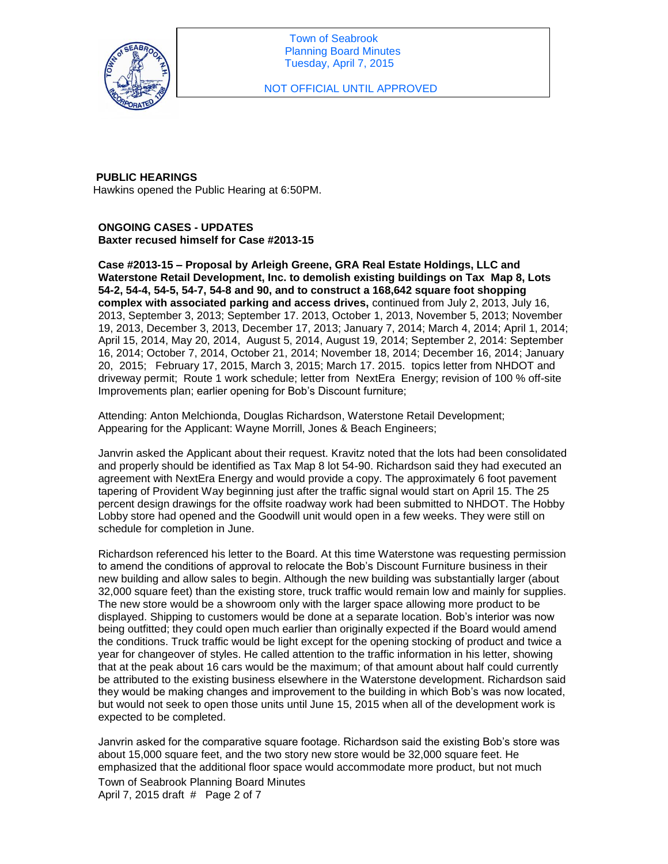

NOT OFFICIAL UNTIL APPROVED

## **PUBLIC HEARINGS**

Hawkins opened the Public Hearing at 6:50PM.

**ONGOING CASES - UPDATES Baxter recused himself for Case #2013-15**

**Case #2013-15 – Proposal by Arleigh Greene, GRA Real Estate Holdings, LLC and Waterstone Retail Development, Inc. to demolish existing buildings on Tax Map 8, Lots 54-2, 54-4, 54-5, 54-7, 54-8 and 90, and to construct a 168,642 square foot shopping complex with associated parking and access drives,** continued from July 2, 2013, July 16, 2013, September 3, 2013; September 17. 2013, October 1, 2013, November 5, 2013; November 19, 2013, December 3, 2013, December 17, 2013; January 7, 2014; March 4, 2014; April 1, 2014; April 15, 2014, May 20, 2014, August 5, 2014, August 19, 2014; September 2, 2014: September 16, 2014; October 7, 2014, October 21, 2014; November 18, 2014; December 16, 2014; January 20, 2015; February 17, 2015, March 3, 2015; March 17. 2015. topics letter from NHDOT and driveway permit; Route 1 work schedule; letter from NextEra Energy; revision of 100 % off-site Improvements plan; earlier opening for Bob's Discount furniture;

Attending: Anton Melchionda, Douglas Richardson, Waterstone Retail Development; Appearing for the Applicant: Wayne Morrill, Jones & Beach Engineers;

Janvrin asked the Applicant about their request. Kravitz noted that the lots had been consolidated and properly should be identified as Tax Map 8 lot 54-90. Richardson said they had executed an agreement with NextEra Energy and would provide a copy. The approximately 6 foot pavement tapering of Provident Way beginning just after the traffic signal would start on April 15. The 25 percent design drawings for the offsite roadway work had been submitted to NHDOT. The Hobby Lobby store had opened and the Goodwill unit would open in a few weeks. They were still on schedule for completion in June.

Richardson referenced his letter to the Board. At this time Waterstone was requesting permission to amend the conditions of approval to relocate the Bob's Discount Furniture business in their new building and allow sales to begin. Although the new building was substantially larger (about 32,000 square feet) than the existing store, truck traffic would remain low and mainly for supplies. The new store would be a showroom only with the larger space allowing more product to be displayed. Shipping to customers would be done at a separate location. Bob's interior was now being outfitted; they could open much earlier than originally expected if the Board would amend the conditions. Truck traffic would be light except for the opening stocking of product and twice a year for changeover of styles. He called attention to the traffic information in his letter, showing that at the peak about 16 cars would be the maximum; of that amount about half could currently be attributed to the existing business elsewhere in the Waterstone development. Richardson said they would be making changes and improvement to the building in which Bob's was now located, but would not seek to open those units until June 15, 2015 when all of the development work is expected to be completed.

Janvrin asked for the comparative square footage. Richardson said the existing Bob's store was about 15,000 square feet, and the two story new store would be 32,000 square feet. He emphasized that the additional floor space would accommodate more product, but not much

Town of Seabrook Planning Board Minutes April 7, 2015 draft # Page 2 of 7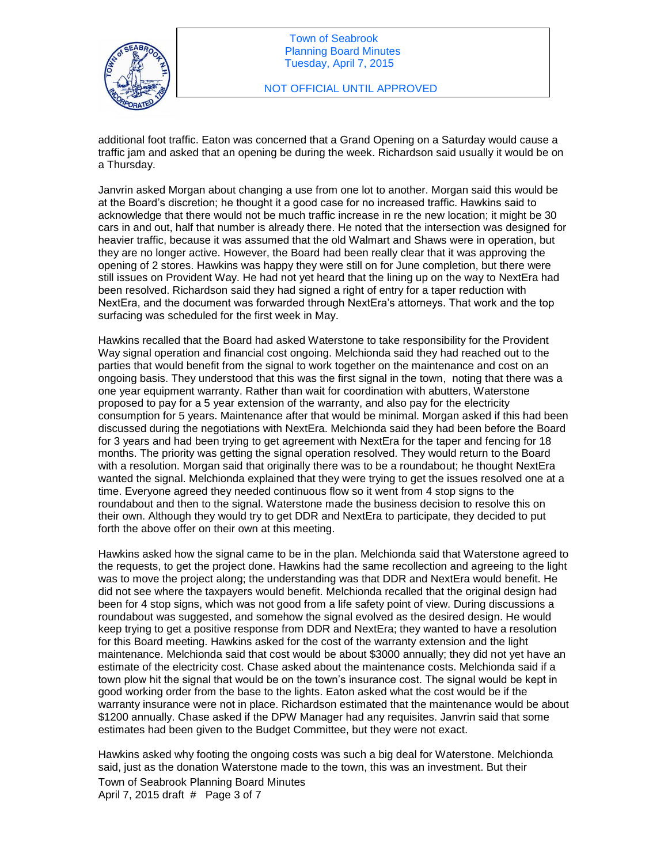

additional foot traffic. Eaton was concerned that a Grand Opening on a Saturday would cause a traffic jam and asked that an opening be during the week. Richardson said usually it would be on a Thursday.

Janvrin asked Morgan about changing a use from one lot to another. Morgan said this would be at the Board's discretion; he thought it a good case for no increased traffic. Hawkins said to acknowledge that there would not be much traffic increase in re the new location; it might be 30 cars in and out, half that number is already there. He noted that the intersection was designed for heavier traffic, because it was assumed that the old Walmart and Shaws were in operation, but they are no longer active. However, the Board had been really clear that it was approving the opening of 2 stores. Hawkins was happy they were still on for June completion, but there were still issues on Provident Way. He had not yet heard that the lining up on the way to NextEra had been resolved. Richardson said they had signed a right of entry for a taper reduction with NextEra, and the document was forwarded through NextEra's attorneys. That work and the top surfacing was scheduled for the first week in May.

Hawkins recalled that the Board had asked Waterstone to take responsibility for the Provident Way signal operation and financial cost ongoing. Melchionda said they had reached out to the parties that would benefit from the signal to work together on the maintenance and cost on an ongoing basis. They understood that this was the first signal in the town, noting that there was a one year equipment warranty. Rather than wait for coordination with abutters, Waterstone proposed to pay for a 5 year extension of the warranty, and also pay for the electricity consumption for 5 years. Maintenance after that would be minimal. Morgan asked if this had been discussed during the negotiations with NextEra. Melchionda said they had been before the Board for 3 years and had been trying to get agreement with NextEra for the taper and fencing for 18 months. The priority was getting the signal operation resolved. They would return to the Board with a resolution. Morgan said that originally there was to be a roundabout; he thought NextEra wanted the signal. Melchionda explained that they were trying to get the issues resolved one at a time. Everyone agreed they needed continuous flow so it went from 4 stop signs to the roundabout and then to the signal. Waterstone made the business decision to resolve this on their own. Although they would try to get DDR and NextEra to participate, they decided to put forth the above offer on their own at this meeting.

Hawkins asked how the signal came to be in the plan. Melchionda said that Waterstone agreed to the requests, to get the project done. Hawkins had the same recollection and agreeing to the light was to move the project along; the understanding was that DDR and NextEra would benefit. He did not see where the taxpayers would benefit. Melchionda recalled that the original design had been for 4 stop signs, which was not good from a life safety point of view. During discussions a roundabout was suggested, and somehow the signal evolved as the desired design. He would keep trying to get a positive response from DDR and NextEra; they wanted to have a resolution for this Board meeting. Hawkins asked for the cost of the warranty extension and the light maintenance. Melchionda said that cost would be about \$3000 annually; they did not yet have an estimate of the electricity cost. Chase asked about the maintenance costs. Melchionda said if a town plow hit the signal that would be on the town's insurance cost. The signal would be kept in good working order from the base to the lights. Eaton asked what the cost would be if the warranty insurance were not in place. Richardson estimated that the maintenance would be about \$1200 annually. Chase asked if the DPW Manager had any requisites. Janvrin said that some estimates had been given to the Budget Committee, but they were not exact.

Hawkins asked why footing the ongoing costs was such a big deal for Waterstone. Melchionda said, just as the donation Waterstone made to the town, this was an investment. But their

Town of Seabrook Planning Board Minutes April 7, 2015 draft # Page 3 of 7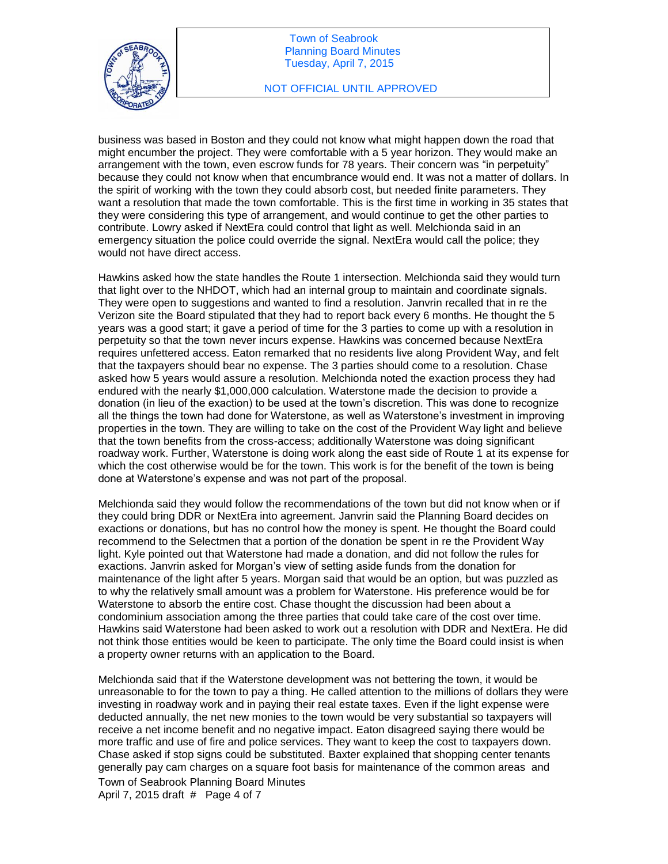

#### NOT OFFICIAL UNTIL APPROVED

business was based in Boston and they could not know what might happen down the road that might encumber the project. They were comfortable with a 5 year horizon. They would make an arrangement with the town, even escrow funds for 78 years. Their concern was "in perpetuity" because they could not know when that encumbrance would end. It was not a matter of dollars. In the spirit of working with the town they could absorb cost, but needed finite parameters. They want a resolution that made the town comfortable. This is the first time in working in 35 states that they were considering this type of arrangement, and would continue to get the other parties to contribute. Lowry asked if NextEra could control that light as well. Melchionda said in an emergency situation the police could override the signal. NextEra would call the police; they would not have direct access.

Hawkins asked how the state handles the Route 1 intersection. Melchionda said they would turn that light over to the NHDOT, which had an internal group to maintain and coordinate signals. They were open to suggestions and wanted to find a resolution. Janvrin recalled that in re the Verizon site the Board stipulated that they had to report back every 6 months. He thought the 5 years was a good start; it gave a period of time for the 3 parties to come up with a resolution in perpetuity so that the town never incurs expense. Hawkins was concerned because NextEra requires unfettered access. Eaton remarked that no residents live along Provident Way, and felt that the taxpayers should bear no expense. The 3 parties should come to a resolution. Chase asked how 5 years would assure a resolution. Melchionda noted the exaction process they had endured with the nearly \$1,000,000 calculation. Waterstone made the decision to provide a donation (in lieu of the exaction) to be used at the town's discretion. This was done to recognize all the things the town had done for Waterstone, as well as Waterstone's investment in improving properties in the town. They are willing to take on the cost of the Provident Way light and believe that the town benefits from the cross-access; additionally Waterstone was doing significant roadway work. Further, Waterstone is doing work along the east side of Route 1 at its expense for which the cost otherwise would be for the town. This work is for the benefit of the town is being done at Waterstone's expense and was not part of the proposal.

Melchionda said they would follow the recommendations of the town but did not know when or if they could bring DDR or NextEra into agreement. Janvrin said the Planning Board decides on exactions or donations, but has no control how the money is spent. He thought the Board could recommend to the Selectmen that a portion of the donation be spent in re the Provident Way light. Kyle pointed out that Waterstone had made a donation, and did not follow the rules for exactions. Janvrin asked for Morgan's view of setting aside funds from the donation for maintenance of the light after 5 years. Morgan said that would be an option, but was puzzled as to why the relatively small amount was a problem for Waterstone. His preference would be for Waterstone to absorb the entire cost. Chase thought the discussion had been about a condominium association among the three parties that could take care of the cost over time. Hawkins said Waterstone had been asked to work out a resolution with DDR and NextEra. He did not think those entities would be keen to participate. The only time the Board could insist is when a property owner returns with an application to the Board.

Melchionda said that if the Waterstone development was not bettering the town, it would be unreasonable to for the town to pay a thing. He called attention to the millions of dollars they were investing in roadway work and in paying their real estate taxes. Even if the light expense were deducted annually, the net new monies to the town would be very substantial so taxpayers will receive a net income benefit and no negative impact. Eaton disagreed saying there would be more traffic and use of fire and police services. They want to keep the cost to taxpayers down. Chase asked if stop signs could be substituted. Baxter explained that shopping center tenants generally pay cam charges on a square foot basis for maintenance of the common areas and

Town of Seabrook Planning Board Minutes April 7, 2015 draft # Page 4 of 7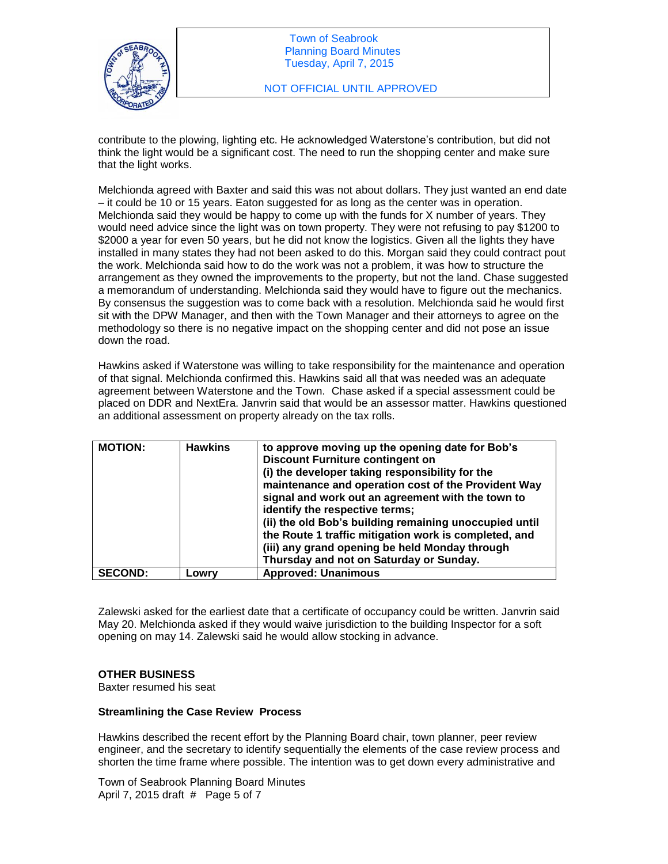

contribute to the plowing, lighting etc. He acknowledged Waterstone's contribution, but did not think the light would be a significant cost. The need to run the shopping center and make sure that the light works.

Melchionda agreed with Baxter and said this was not about dollars. They just wanted an end date – it could be 10 or 15 years. Eaton suggested for as long as the center was in operation. Melchionda said they would be happy to come up with the funds for X number of years. They would need advice since the light was on town property. They were not refusing to pay \$1200 to \$2000 a year for even 50 years, but he did not know the logistics. Given all the lights they have installed in many states they had not been asked to do this. Morgan said they could contract pout the work. Melchionda said how to do the work was not a problem, it was how to structure the arrangement as they owned the improvements to the property, but not the land. Chase suggested a memorandum of understanding. Melchionda said they would have to figure out the mechanics. By consensus the suggestion was to come back with a resolution. Melchionda said he would first sit with the DPW Manager, and then with the Town Manager and their attorneys to agree on the methodology so there is no negative impact on the shopping center and did not pose an issue down the road.

Hawkins asked if Waterstone was willing to take responsibility for the maintenance and operation of that signal. Melchionda confirmed this. Hawkins said all that was needed was an adequate agreement between Waterstone and the Town. Chase asked if a special assessment could be placed on DDR and NextEra. Janvrin said that would be an assessor matter. Hawkins questioned an additional assessment on property already on the tax rolls.

| <b>MOTION:</b> | <b>Hawkins</b> | to approve moving up the opening date for Bob's<br><b>Discount Furniture contingent on</b><br>(i) the developer taking responsibility for the<br>maintenance and operation cost of the Provident Way<br>signal and work out an agreement with the town to<br>identify the respective terms;<br>(ii) the old Bob's building remaining unoccupied until<br>the Route 1 traffic mitigation work is completed, and<br>(iii) any grand opening be held Monday through<br>Thursday and not on Saturday or Sunday. |
|----------------|----------------|-------------------------------------------------------------------------------------------------------------------------------------------------------------------------------------------------------------------------------------------------------------------------------------------------------------------------------------------------------------------------------------------------------------------------------------------------------------------------------------------------------------|
| <b>SECOND:</b> | Lowry          | <b>Approved: Unanimous</b>                                                                                                                                                                                                                                                                                                                                                                                                                                                                                  |

Zalewski asked for the earliest date that a certificate of occupancy could be written. Janvrin said May 20. Melchionda asked if they would waive jurisdiction to the building Inspector for a soft opening on may 14. Zalewski said he would allow stocking in advance.

# **OTHER BUSINESS**

Baxter resumed his seat

## **Streamlining the Case Review Process**

Hawkins described the recent effort by the Planning Board chair, town planner, peer review engineer, and the secretary to identify sequentially the elements of the case review process and shorten the time frame where possible. The intention was to get down every administrative and

Town of Seabrook Planning Board Minutes April 7, 2015 draft # Page 5 of 7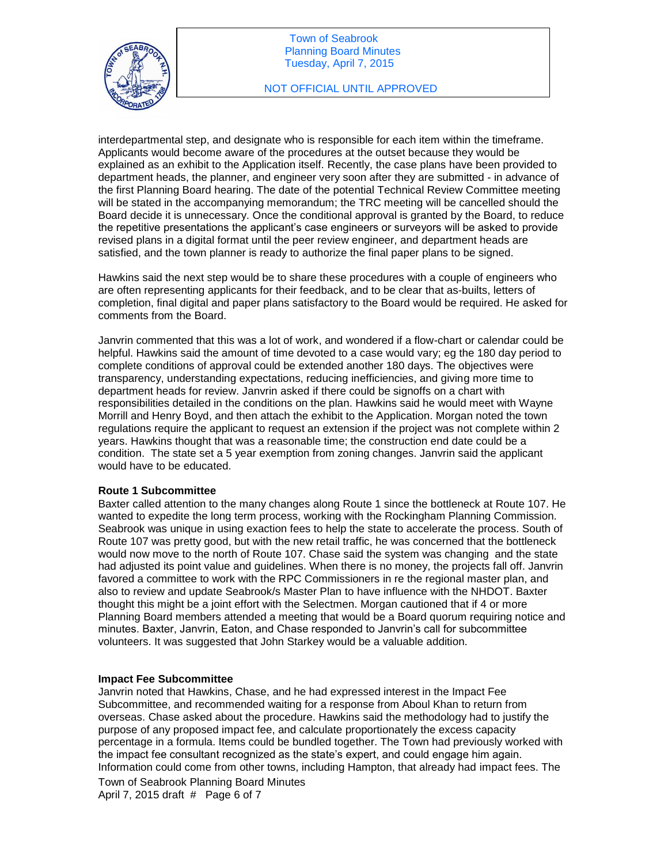

interdepartmental step, and designate who is responsible for each item within the timeframe. Applicants would become aware of the procedures at the outset because they would be explained as an exhibit to the Application itself. Recently, the case plans have been provided to department heads, the planner, and engineer very soon after they are submitted - in advance of the first Planning Board hearing. The date of the potential Technical Review Committee meeting will be stated in the accompanying memorandum; the TRC meeting will be cancelled should the Board decide it is unnecessary. Once the conditional approval is granted by the Board, to reduce the repetitive presentations the applicant's case engineers or surveyors will be asked to provide revised plans in a digital format until the peer review engineer, and department heads are satisfied, and the town planner is ready to authorize the final paper plans to be signed.

Hawkins said the next step would be to share these procedures with a couple of engineers who are often representing applicants for their feedback, and to be clear that as-builts, letters of completion, final digital and paper plans satisfactory to the Board would be required. He asked for comments from the Board.

Janvrin commented that this was a lot of work, and wondered if a flow-chart or calendar could be helpful. Hawkins said the amount of time devoted to a case would vary; eg the 180 day period to complete conditions of approval could be extended another 180 days. The objectives were transparency, understanding expectations, reducing inefficiencies, and giving more time to department heads for review. Janvrin asked if there could be signoffs on a chart with responsibilities detailed in the conditions on the plan. Hawkins said he would meet with Wayne Morrill and Henry Boyd, and then attach the exhibit to the Application. Morgan noted the town regulations require the applicant to request an extension if the project was not complete within 2 years. Hawkins thought that was a reasonable time; the construction end date could be a condition. The state set a 5 year exemption from zoning changes. Janvrin said the applicant would have to be educated.

## **Route 1 Subcommittee**

Baxter called attention to the many changes along Route 1 since the bottleneck at Route 107. He wanted to expedite the long term process, working with the Rockingham Planning Commission. Seabrook was unique in using exaction fees to help the state to accelerate the process. South of Route 107 was pretty good, but with the new retail traffic, he was concerned that the bottleneck would now move to the north of Route 107. Chase said the system was changing and the state had adjusted its point value and guidelines. When there is no money, the projects fall off. Janvrin favored a committee to work with the RPC Commissioners in re the regional master plan, and also to review and update Seabrook/s Master Plan to have influence with the NHDOT. Baxter thought this might be a joint effort with the Selectmen. Morgan cautioned that if 4 or more Planning Board members attended a meeting that would be a Board quorum requiring notice and minutes. Baxter, Janvrin, Eaton, and Chase responded to Janvrin's call for subcommittee volunteers. It was suggested that John Starkey would be a valuable addition.

## **Impact Fee Subcommittee**

Janvrin noted that Hawkins, Chase, and he had expressed interest in the Impact Fee Subcommittee, and recommended waiting for a response from Aboul Khan to return from overseas. Chase asked about the procedure. Hawkins said the methodology had to justify the purpose of any proposed impact fee, and calculate proportionately the excess capacity percentage in a formula. Items could be bundled together. The Town had previously worked with the impact fee consultant recognized as the state's expert, and could engage him again. Information could come from other towns, including Hampton, that already had impact fees. The

Town of Seabrook Planning Board Minutes April 7, 2015 draft # Page 6 of 7